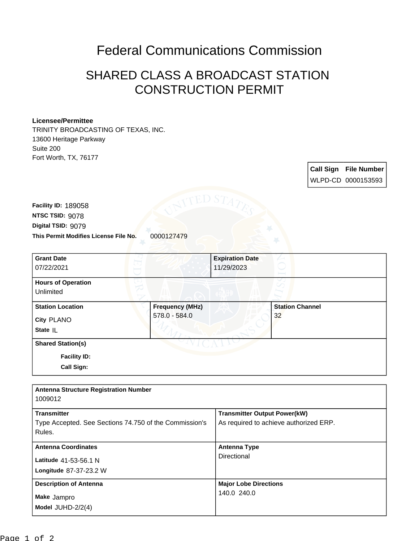## Federal Communications Commission

## SHARED CLASS A BROADCAST STATION CONSTRUCTION PERMIT

## **Licensee/Permittee**

TRINITY BROADCASTING OF TEXAS, INC. 13600 Heritage Parkway Suite 200 Fort Worth, TX, 76177

> **Call Sign File Number** WLPD-CD 0000153593

**This Permit Modifies License File No.** 0000127479 **Digital TSID:** 9079 **NTSC TSID:** 9078 **Facility ID:** 189058

| <b>Grant Date</b><br>07/22/2021                                      |                                         | <b>Expiration Date</b><br>11/29/2023 |                              |  |
|----------------------------------------------------------------------|-----------------------------------------|--------------------------------------|------------------------------|--|
| <b>Hours of Operation</b><br>Unlimited                               |                                         |                                      |                              |  |
| <b>Station Location</b><br>City PLANO<br>State IL                    | <b>Frequency (MHz)</b><br>578.0 - 584.0 |                                      | <b>Station Channel</b><br>32 |  |
| <b>Shared Station(s)</b><br><b>Facility ID:</b><br><b>Call Sign:</b> |                                         |                                      |                              |  |

| <b>Antenna Structure Registration Number</b><br>1009012                                |                                                                               |
|----------------------------------------------------------------------------------------|-------------------------------------------------------------------------------|
| <b>Transmitter</b><br>Type Accepted. See Sections 74.750 of the Commission's<br>Rules. | <b>Transmitter Output Power(kW)</b><br>As required to achieve authorized ERP. |
| <b>Antenna Coordinates</b><br>Latitude 41-53-56.1 N<br>Longitude 87-37-23.2 W          | <b>Antenna Type</b><br>Directional                                            |
| <b>Description of Antenna</b><br>Make Jampro<br>Model $JUHD-2/2(4)$                    | <b>Major Lobe Directions</b><br>140.0 240.0                                   |